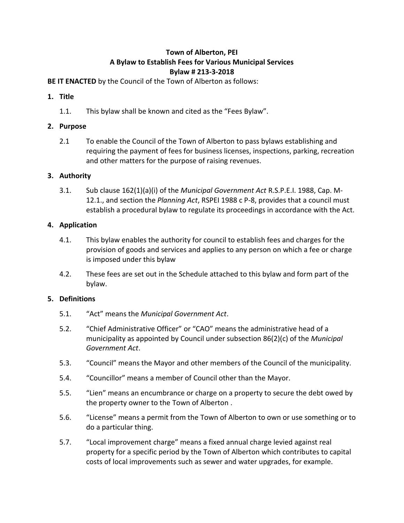# **Town of Alberton, PEI A Bylaw to Establish Fees for Various Municipal Services Bylaw # 213-3-2018**

**BE IT ENACTED** by the Council of the Town of Alberton as follows:

## **1. Title**

1.1. This bylaw shall be known and cited as the "Fees Bylaw".

### **2. Purpose**

2.1 To enable the Council of the Town of Alberton to pass bylaws establishing and requiring the payment of fees for business licenses, inspections, parking, recreation and other matters for the purpose of raising revenues.

### **3. Authority**

3.1. Sub clause 162(1)(a)(i) of the *Municipal Government Act* R.S.P.E.I. 1988, Cap. M-12.1., and section the *Planning Act*, RSPEI 1988 c P-8, provides that a council must establish a procedural bylaw to regulate its proceedings in accordance with the Act.

### **4. Application**

- 4.1. This bylaw enables the authority for council to establish fees and charges for the provision of goods and services and applies to any person on which a fee or charge is imposed under this bylaw
- 4.2. These fees are set out in the Schedule attached to this bylaw and form part of the bylaw.

#### **5. Definitions**

- 5.1. "Act" means the *Municipal Government Act*.
- 5.2. "Chief Administrative Officer" or "CAO" means the administrative head of a municipality as appointed by Council under subsection 86(2)(c) of the *Municipal Government Act*.
- 5.3. "Council" means the Mayor and other members of the Council of the municipality.
- 5.4. "Councillor" means a member of Council other than the Mayor.
- 5.5. "Lien" means an encumbrance or charge on a property to secure the debt owed by the property owner to the Town of Alberton .
- 5.6. "License" means a permit from the Town of Alberton to own or use something or to do a particular thing.
- 5.7. "Local improvement charge" means a fixed annual charge levied against real property for a specific period by the Town of Alberton which contributes to capital costs of local improvements such as sewer and water upgrades, for example.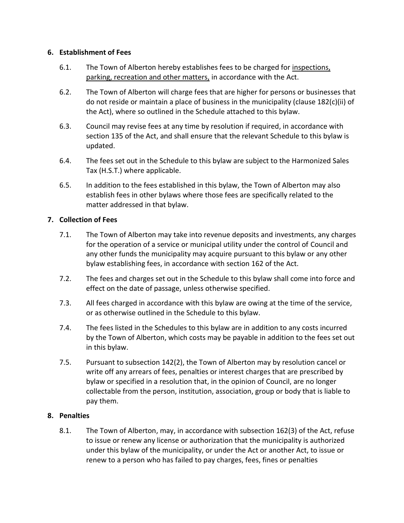### **6. Establishment of Fees**

- 6.1. The Town of Alberton hereby establishes fees to be charged for inspections, parking, recreation and other matters, in accordance with the Act.
- 6.2. The Town of Alberton will charge fees that are higher for persons or businesses that do not reside or maintain a place of business in the municipality (clause 182(c)(ii) of the Act), where so outlined in the Schedule attached to this bylaw.
- 6.3. Council may revise fees at any time by resolution if required, in accordance with section 135 of the Act, and shall ensure that the relevant Schedule to this bylaw is updated.
- 6.4. The fees set out in the Schedule to this bylaw are subject to the Harmonized Sales Tax (H.S.T.) where applicable.
- 6.5. In addition to the fees established in this bylaw, the Town of Alberton may also establish fees in other bylaws where those fees are specifically related to the matter addressed in that bylaw.

## **7. Collection of Fees**

- 7.1. The Town of Alberton may take into revenue deposits and investments, any charges for the operation of a service or municipal utility under the control of Council and any other funds the municipality may acquire pursuant to this bylaw or any other bylaw establishing fees, in accordance with section 162 of the Act.
- 7.2. The fees and charges set out in the Schedule to this bylaw shall come into force and effect on the date of passage, unless otherwise specified.
- 7.3. All fees charged in accordance with this bylaw are owing at the time of the service, or as otherwise outlined in the Schedule to this bylaw.
- 7.4. The fees listed in the Schedules to this bylaw are in addition to any costs incurred by the Town of Alberton, which costs may be payable in addition to the fees set out in this bylaw.
- 7.5. Pursuant to subsection 142(2), the Town of Alberton may by resolution cancel or write off any arrears of fees, penalties or interest charges that are prescribed by bylaw or specified in a resolution that, in the opinion of Council, are no longer collectable from the person, institution, association, group or body that is liable to pay them.

## **8. Penalties**

8.1. The Town of Alberton, may, in accordance with subsection 162(3) of the Act, refuse to issue or renew any license or authorization that the municipality is authorized under this bylaw of the municipality, or under the Act or another Act, to issue or renew to a person who has failed to pay charges, fees, fines or penalties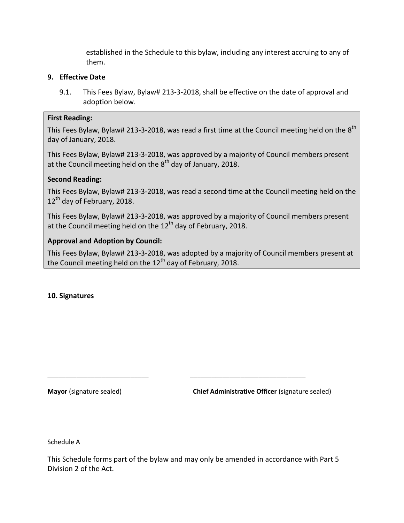established in the Schedule to this bylaw, including any interest accruing to any of them.

### **9. Effective Date**

9.1. This Fees Bylaw, Bylaw# 213-3-2018, shall be effective on the date of approval and adoption below.

### **First Reading:**

This Fees Bylaw, Bylaw# 213-3-2018, was read a first time at the Council meeting held on the  $8^{\text{th}}$ day of January, 2018.

This Fees Bylaw, Bylaw# 213-3-2018, was approved by a majority of Council members present at the Council meeting held on the 8<sup>th</sup> day of January, 2018.

## **Second Reading:**

This Fees Bylaw, Bylaw# 213-3-2018, was read a second time at the Council meeting held on the 12<sup>th</sup> day of February, 2018.

This Fees Bylaw, Bylaw# 213-3-2018, was approved by a majority of Council members present at the Council meeting held on the  $12<sup>th</sup>$  day of February, 2018.

### **Approval and Adoption by Council:**

This Fees Bylaw, Bylaw# 213-3-2018, was adopted by a majority of Council members present at the Council meeting held on the  $12<sup>th</sup>$  day of February, 2018.

#### **10. Signatures**

**Mayor** (signature sealed) **Chief Administrative Officer** (signature sealed)

Schedule A

This Schedule forms part of the bylaw and may only be amended in accordance with Part 5 Division 2 of the Act.

\_\_\_\_\_\_\_\_\_\_\_\_\_\_\_\_\_\_\_\_\_\_\_\_\_\_\_\_ \_\_\_\_\_\_\_\_\_\_\_\_\_\_\_\_\_\_\_\_\_\_\_\_\_\_\_\_\_\_\_\_